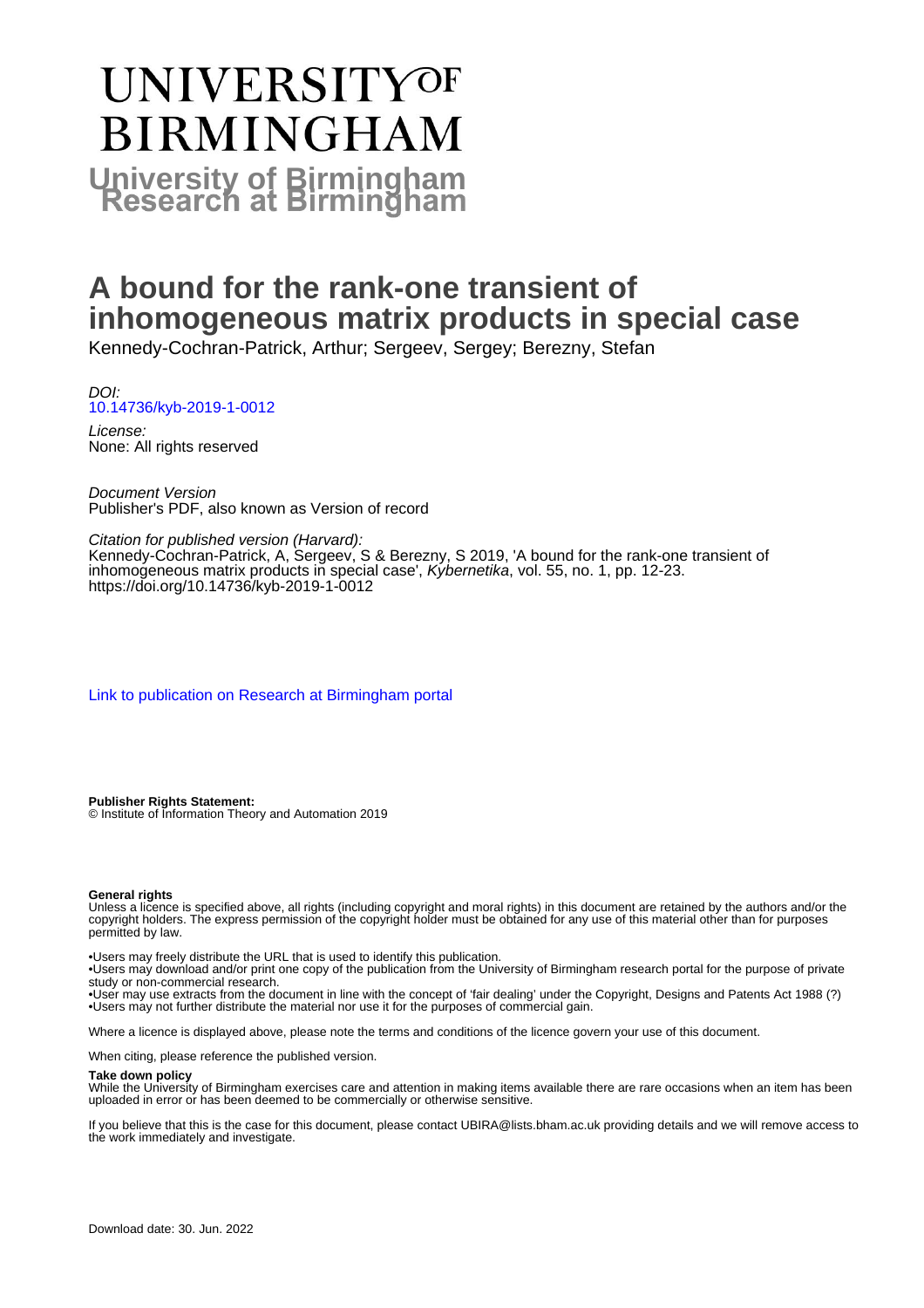# **UNIVERSITYOF BIRMINGHAM University of Birmingham**

## **A bound for the rank-one transient of inhomogeneous matrix products in special case**

Kennedy-Cochran-Patrick, Arthur; Sergeev, Sergey; Berezny, Stefan

DOI: [10.14736/kyb-2019-1-0012](https://doi.org/10.14736/kyb-2019-1-0012)

License: None: All rights reserved

Document Version Publisher's PDF, also known as Version of record

Citation for published version (Harvard):

Kennedy-Cochran-Patrick, A, Sergeev, S & Berezny, S 2019, 'A bound for the rank-one transient of inhomogeneous matrix products in special case', Kybernetika, vol. 55, no. 1, pp. 12-23. <https://doi.org/10.14736/kyb-2019-1-0012>

[Link to publication on Research at Birmingham portal](https://birmingham.elsevierpure.com/en/publications/e2a10764-b2e2-4342-91e6-a7b7c8900af9)

**Publisher Rights Statement:** © Institute of Information Theory and Automation 2019

#### **General rights**

Unless a licence is specified above, all rights (including copyright and moral rights) in this document are retained by the authors and/or the copyright holders. The express permission of the copyright holder must be obtained for any use of this material other than for purposes permitted by law.

• Users may freely distribute the URL that is used to identify this publication.

• Users may download and/or print one copy of the publication from the University of Birmingham research portal for the purpose of private study or non-commercial research.

• User may use extracts from the document in line with the concept of 'fair dealing' under the Copyright, Designs and Patents Act 1988 (?) • Users may not further distribute the material nor use it for the purposes of commercial gain.

Where a licence is displayed above, please note the terms and conditions of the licence govern your use of this document.

When citing, please reference the published version.

#### **Take down policy**

While the University of Birmingham exercises care and attention in making items available there are rare occasions when an item has been uploaded in error or has been deemed to be commercially or otherwise sensitive.

If you believe that this is the case for this document, please contact UBIRA@lists.bham.ac.uk providing details and we will remove access to the work immediately and investigate.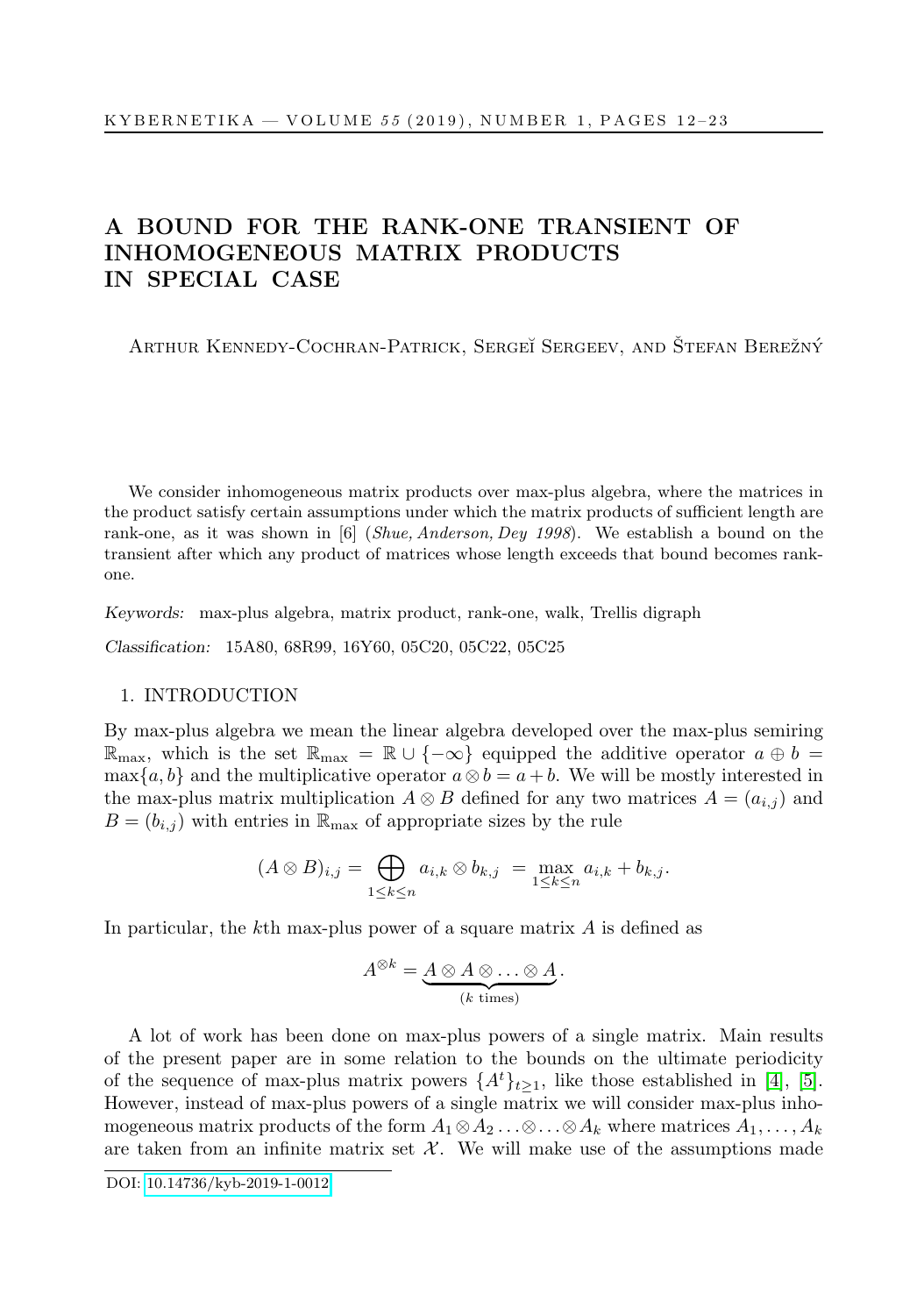### A BOUND FOR THE RANK-ONE TRANSIENT OF INHOMOGENEOUS MATRIX PRODUCTS IN SPECIAL CASE

ARTHUR KENNEDY-COCHRAN-PATRICK, SERGEĬ SERGEEV, AND ŠTEFAN BEREŽNÝ

We consider inhomogeneous matrix products over max-plus algebra, where the matrices in the product satisfy certain assumptions under which the matrix products of sufficient length are rank-one, as it was shown in [6] (Shue, Anderson, Dey 1998). We establish a bound on the transient after which any product of matrices whose length exceeds that bound becomes rankone.

Keywords: max-plus algebra, matrix product, rank-one, walk, Trellis digraph

Classification: 15A80, 68R99, 16Y60, 05C20, 05C22, 05C25

#### 1. INTRODUCTION

By max-plus algebra we mean the linear algebra developed over the max-plus semiring  $\mathbb{R}_{\text{max}}$ , which is the set  $\mathbb{R}_{\text{max}} = \mathbb{R} \cup \{-\infty\}$  equipped the additive operator  $a \oplus b =$ max{a, b} and the multiplicative operator  $a \otimes b = a + b$ . We will be mostly interested in the max-plus matrix multiplication  $A \otimes B$  defined for any two matrices  $A = (a_{i,j})$  and  $B = (b_{i,j})$  with entries in  $\mathbb{R}_{\text{max}}$  of appropriate sizes by the rule

$$
(A \otimes B)_{i,j} = \bigoplus_{1 \leq k \leq n} a_{i,k} \otimes b_{k,j} = \max_{1 \leq k \leq n} a_{i,k} + b_{k,j}.
$$

In particular, the kth max-plus power of a square matrix  $A$  is defined as

$$
A^{\otimes k} = \underbrace{A \otimes A \otimes \ldots \otimes A}_{(k \text{ times})}.
$$

A lot of work has been done on max-plus powers of a single matrix. Main results of the present paper are in some relation to the bounds on the ultimate periodicity of the sequence of max-plus matrix powers  $\{A^t\}_{t>1}$ , like those established in [\[4\]](#page-11-0), [\[5\]](#page-11-1). However, instead of max-plus powers of a single matrix we will consider max-plus inhomogeneous matrix products of the form  $A_1 \otimes A_2 \ldots \otimes \ldots \otimes A_k$  where matrices  $A_1, \ldots, A_k$ are taken from an infinite matrix set  $\mathcal{X}$ . We will make use of the assumptions made

DOI: [10.14736/kyb-2019-1-0012](http://doi.org/10.14736/kyb-2019-1-0012)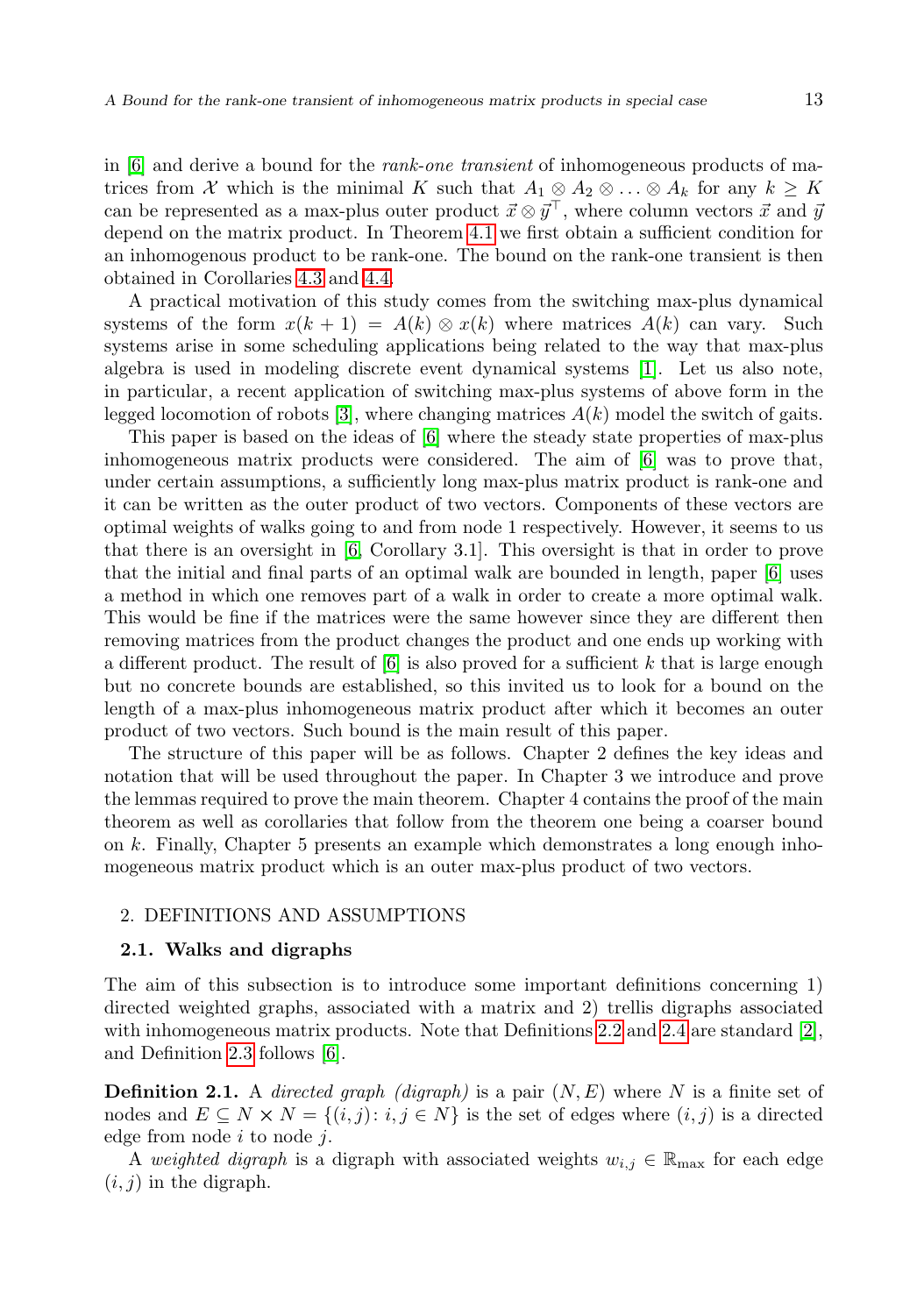in  $|6|$  and derive a bound for the *rank-one transient* of inhomogeneous products of matrices from X which is the minimal K such that  $A_1 \otimes A_2 \otimes \ldots \otimes A_k$  for any  $k \geq K$ can be represented as a max-plus outer product  $\vec{x} \otimes \vec{y}^{\top}$ , where column vectors  $\vec{x}$  and  $\vec{y}$ depend on the matrix product. In Theorem [4.1](#page-7-0) we first obtain a sufficient condition for an inhomogenous product to be rank-one. The bound on the rank-one transient is then obtained in Corollaries [4.3](#page-8-0) and [4.4.](#page-9-0)

A practical motivation of this study comes from the switching max-plus dynamical systems of the form  $x(k + 1) = A(k) \otimes x(k)$  where matrices  $A(k)$  can vary. Such systems arise in some scheduling applications being related to the way that max-plus algebra is used in modeling discrete event dynamical systems [\[1\]](#page-11-3). Let us also note, in particular, a recent application of switching max-plus systems of above form in the legged locomotion of robots [\[3\]](#page-11-4), where changing matrices  $A(k)$  model the switch of gaits.

This paper is based on the ideas of [\[6\]](#page-11-2) where the steady state properties of max-plus inhomogeneous matrix products were considered. The aim of [\[6\]](#page-11-2) was to prove that, under certain assumptions, a sufficiently long max-plus matrix product is rank-one and it can be written as the outer product of two vectors. Components of these vectors are optimal weights of walks going to and from node 1 respectively. However, it seems to us that there is an oversight in [\[6,](#page-11-2) Corollary 3.1]. This oversight is that in order to prove that the initial and final parts of an optimal walk are bounded in length, paper [\[6\]](#page-11-2) uses a method in which one removes part of a walk in order to create a more optimal walk. This would be fine if the matrices were the same however since they are different then removing matrices from the product changes the product and one ends up working with a different product. The result of  $[6]$  is also proved for a sufficient k that is large enough but no concrete bounds are established, so this invited us to look for a bound on the length of a max-plus inhomogeneous matrix product after which it becomes an outer product of two vectors. Such bound is the main result of this paper.

The structure of this paper will be as follows. Chapter 2 defines the key ideas and notation that will be used throughout the paper. In Chapter 3 we introduce and prove the lemmas required to prove the main theorem. Chapter 4 contains the proof of the main theorem as well as corollaries that follow from the theorem one being a coarser bound on k. Finally, Chapter 5 presents an example which demonstrates a long enough inhomogeneous matrix product which is an outer max-plus product of two vectors.

#### 2. DEFINITIONS AND ASSUMPTIONS

#### 2.1. Walks and digraphs

The aim of this subsection is to introduce some important definitions concerning 1) directed weighted graphs, associated with a matrix and 2) trellis digraphs associated with inhomogeneous matrix products. Note that Definitions [2.2](#page-2-0) and [2.4](#page-3-0) are standard  $[2]$ , and Definition [2.3](#page-3-1) follows [\[6\]](#page-11-2).

**Definition 2.1.** A directed graph (digraph) is a pair  $(N, E)$  where N is a finite set of nodes and  $E \subseteq N \times N = \{(i, j): i, j \in N\}$  is the set of edges where  $(i, j)$  is a directed edge from node  $i$  to node  $j$ .

<span id="page-2-0"></span>A weighted digraph is a digraph with associated weights  $w_{i,j} \in \mathbb{R}_{\text{max}}$  for each edge  $(i, j)$  in the digraph.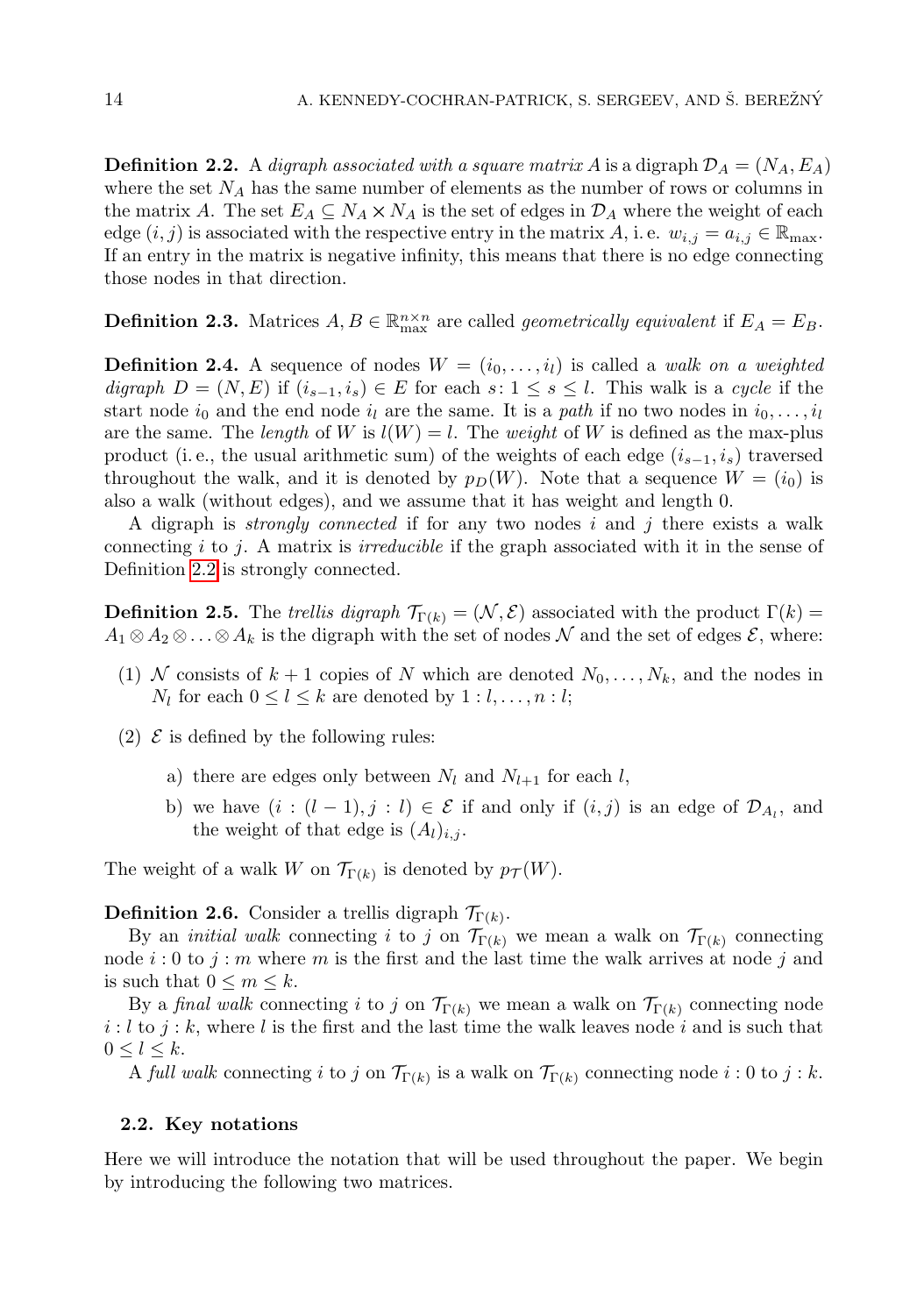**Definition 2.2.** A digraph associated with a square matrix A is a digraph  $\mathcal{D}_A = (N_A, E_A)$ where the set  $N_A$  has the same number of elements as the number of rows or columns in the matrix A. The set  $E_A \subseteq N_A \times N_A$  is the set of edges in  $\mathcal{D}_A$  where the weight of each edge  $(i, j)$  is associated with the respective entry in the matrix A, i.e.  $w_{i,j} = a_{i,j} \in \mathbb{R}_{\text{max}}$ . If an entry in the matrix is negative infinity, this means that there is no edge connecting those nodes in that direction.

<span id="page-3-1"></span>**Definition 2.3.** Matrices  $A, B \in \mathbb{R}_{\text{max}}^{n \times n}$  are called *geometrically equivalent* if  $E_A = E_B$ .

<span id="page-3-0"></span>**Definition 2.4.** A sequence of nodes  $W = (i_0, \ldots, i_l)$  is called a walk on a weighted digraph  $D = (N, E)$  if  $(i_{s-1}, i_s) \in E$  for each  $s: 1 \le s \le l$ . This walk is a cycle if the start node  $i_0$  and the end node  $i_l$  are the same. It is a path if no two nodes in  $i_0, \ldots, i_l$ are the same. The length of W is  $l(W) = l$ . The weight of W is defined as the max-plus product (i.e., the usual arithmetic sum) of the weights of each edge  $(i_{s-1}, i_s)$  traversed throughout the walk, and it is denoted by  $p_D(W)$ . Note that a sequence  $W = (i_0)$  is also a walk (without edges), and we assume that it has weight and length 0.

A digraph is *strongly connected* if for any two nodes i and j there exists a walk connecting  $i$  to j. A matrix is *irreducible* if the graph associated with it in the sense of Definition [2.2](#page-2-0) is strongly connected.

**Definition 2.5.** The trellis digraph  $\mathcal{T}_{\Gamma(k)} = (\mathcal{N}, \mathcal{E})$  associated with the product  $\Gamma(k) =$  $A_1 \otimes A_2 \otimes \ldots \otimes A_k$  is the digraph with the set of nodes N and the set of edges E, where:

- (1) N consists of  $k + 1$  copies of N which are denoted  $N_0, \ldots, N_k$ , and the nodes in  $N_l$  for each  $0 \leq l \leq k$  are denoted by  $1 : l, \ldots, n : l;$
- (2)  $\mathcal E$  is defined by the following rules:
	- a) there are edges only between  $N_l$  and  $N_{l+1}$  for each l,
	- b) we have  $(i : (l-1), j : l) \in \mathcal{E}$  if and only if  $(i, j)$  is an edge of  $\mathcal{D}_{A_i}$ , and the weight of that edge is  $(A_l)_{i,j}$ .

The weight of a walk W on  $\mathcal{T}_{\Gamma(k)}$  is denoted by  $p_{\mathcal{T}}(W)$ .

#### **Definition 2.6.** Consider a trellis digraph  $\mathcal{T}_{\Gamma(k)}$ .

By an *initial walk* connecting i to j on  $\mathcal{T}_{\Gamma(k)}$  we mean a walk on  $\mathcal{T}_{\Gamma(k)}$  connecting node  $i: 0$  to  $j: m$  where m is the first and the last time the walk arrives at node j and is such that  $0 \leq m \leq k$ .

By a final walk connecting i to j on  $\mathcal{T}_{\Gamma(k)}$  we mean a walk on  $\mathcal{T}_{\Gamma(k)}$  connecting node  $i: l$  to  $j: k$ , where l is the first and the last time the walk leaves node i and is such that  $0 \leq l \leq k$ .

A full walk connecting i to j on  $\mathcal{T}_{\Gamma(k)}$  is a walk on  $\mathcal{T}_{\Gamma(k)}$  connecting node i: 0 to j: k.

#### 2.2. Key notations

Here we will introduce the notation that will be used throughout the paper. We begin by introducing the following two matrices.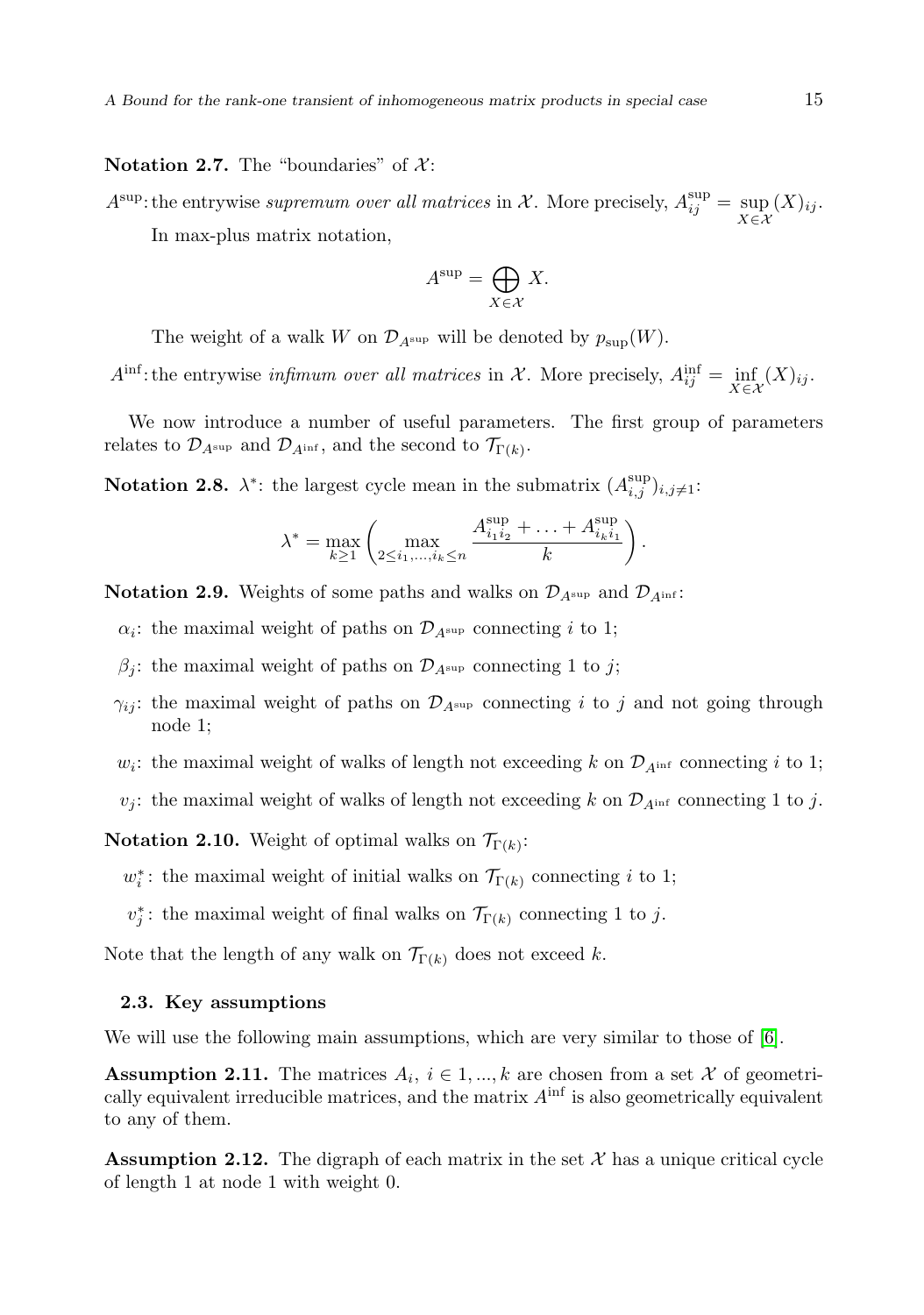#### Notation 2.7. The "boundaries" of  $\mathcal{X}$ :

 $A^{\sup}$ : the entrywise supremum over all matrices in X. More precisely,  $A_{ij}^{\sup} = \sup_{X \in \mathcal{X}} (X)_{ij}$ . In max-plus matrix notation,

$$
A^{\sup} = \bigoplus_{X \in \mathcal{X}} X.
$$

The weight of a walk W on  $\mathcal{D}_{A^{\sup}}$  will be denoted by  $p_{\sup}(W)$ .

 $A^{\text{inf}}$ : the entrywise *infimum over all matrices* in X. More precisely,  $A_{ij}^{\text{inf}} = \inf_{X \in \mathcal{X}} (X)_{ij}$ .

We now introduce a number of useful parameters. The first group of parameters relates to  $\mathcal{D}_{A^{\sup}}$  and  $\mathcal{D}_{A^{\inf}}$ , and the second to  $\mathcal{T}_{\Gamma(k)}$ .

**Notation 2.8.**  $\lambda^*$ : the largest cycle mean in the submatrix  $(A_{i,j}^{\text{sup}})_{i,j\neq 1}$ :

$$
\lambda^* = \max_{k \ge 1} \left( \max_{2 \le i_1, \dots, i_k \le n} \frac{A_{i_1 i_2}^{\sup} + \dots + A_{i_k i_1}^{\sup}}{k} \right).
$$

**Notation 2.9.** Weights of some paths and walks on  $\mathcal{D}_{A^{\text{sup}}}$  and  $\mathcal{D}_{A^{\text{inf}}}$ :

 $\alpha_i$ : the maximal weight of paths on  $\mathcal{D}_{A^{\sup}}$  connecting i to 1;

- $\beta_j$ : the maximal weight of paths on  $\mathcal{D}_{A^{\sup}}$  connecting 1 to j;
- $\gamma_{ij}$ : the maximal weight of paths on  $\mathcal{D}_{A^{\sup}}$  connecting i to j and not going through node 1;
- $w_i$ : the maximal weight of walks of length not exceeding k on  $\mathcal{D}_{A^{inf}}$  connecting i to 1;
- $v_j$ : the maximal weight of walks of length not exceeding k on  $\mathcal{D}_{A^{inf}}$  connecting 1 to j.

**Notation 2.10.** Weight of optimal walks on  $\mathcal{T}_{\Gamma(k)}$ :

 $w_i^*$ : the maximal weight of initial walks on  $\mathcal{T}_{\Gamma(k)}$  connecting i to 1;

 $v_j^*$ : the maximal weight of final walks on  $\mathcal{T}_{\Gamma(k)}$  connecting 1 to j.

Note that the length of any walk on  $\mathcal{T}_{\Gamma(k)}$  does not exceed k.

#### 2.3. Key assumptions

We will use the following main assumptions, which are very similar to those of [\[6\]](#page-11-2).

**Assumption 2.11.** The matrices  $A_i$ ,  $i \in 1, ..., k$  are chosen from a set X of geometrically equivalent irreducible matrices, and the matrix  $A^{\text{inf}}$  is also geometrically equivalent to any of them.

<span id="page-4-1"></span><span id="page-4-0"></span>**Assumption 2.12.** The digraph of each matrix in the set  $\mathcal{X}$  has a unique critical cycle of length 1 at node 1 with weight 0.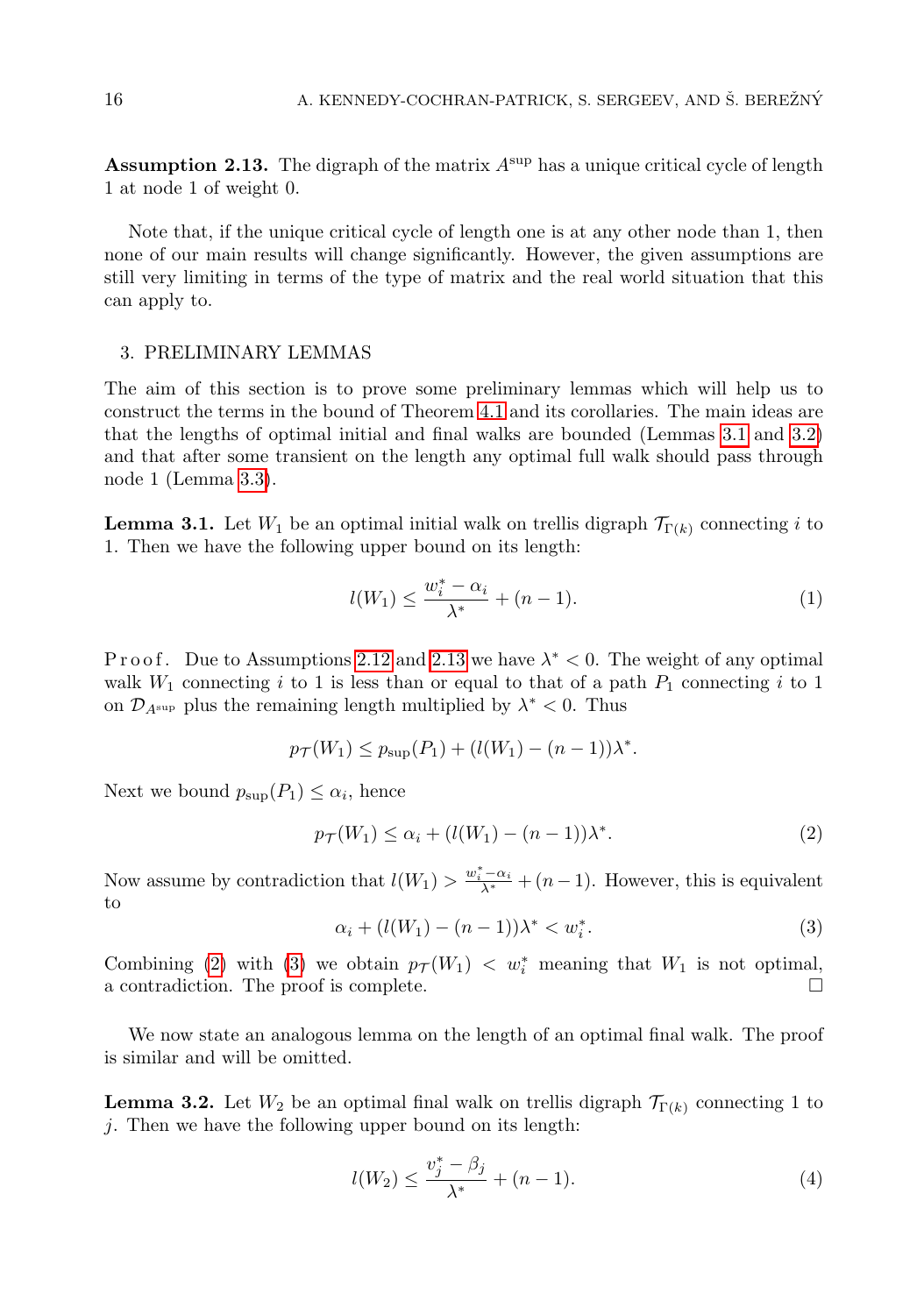**Assumption 2.13.** The digraph of the matrix  $A^{sup}$  has a unique critical cycle of length 1 at node 1 of weight 0.

Note that, if the unique critical cycle of length one is at any other node than 1, then none of our main results will change significantly. However, the given assumptions are still very limiting in terms of the type of matrix and the real world situation that this can apply to.

#### 3. PRELIMINARY LEMMAS

The aim of this section is to prove some preliminary lemmas which will help us to construct the terms in the bound of Theorem [4.1](#page-7-0) and its corollaries. The main ideas are that the lengths of optimal initial and final walks are bounded (Lemmas [3.1](#page-5-0) and [3.2\)](#page-5-1) and that after some transient on the length any optimal full walk should pass through node 1 (Lemma [3.3\)](#page-5-2).

<span id="page-5-0"></span>**Lemma 3.1.** Let  $W_1$  be an optimal initial walk on trellis digraph  $\mathcal{T}_{\Gamma(k)}$  connecting i to 1. Then we have the following upper bound on its length:

$$
l(W_1) \le \frac{w_i^* - \alpha_i}{\lambda^*} + (n - 1).
$$
 (1)

Proof. Due to Assumptions [2.12](#page-4-0) and [2.13](#page-4-1) we have  $\lambda^* < 0$ . The weight of any optimal walk  $W_1$  connecting i to 1 is less than or equal to that of a path  $P_1$  connecting i to 1 on  $\mathcal{D}_{A^{\sup}}$  plus the remaining length multiplied by  $\lambda^* < 0$ . Thus

$$
p_{\mathcal{T}}(W_1) \le p_{\sup}(P_1) + (l(W_1) - (n-1))\lambda^*.
$$

Next we bound  $p_{\text{sup}}(P_1) \leq \alpha_i$ , hence

<span id="page-5-3"></span>
$$
p_{\mathcal{T}}(W_1) \le \alpha_i + (l(W_1) - (n-1))\lambda^*.
$$
 (2)

Now assume by contradiction that  $l(W_1) > \frac{w_i^* - \alpha_i}{\lambda^*} + (n-1)$ . However, this is equivalent to

<span id="page-5-4"></span>
$$
\alpha_i + (l(W_1) - (n-1))\lambda^* < w_i^*.
$$
\n(3)

Combining [\(2\)](#page-5-3) with [\(3\)](#page-5-4) we obtain  $p_{\mathcal{T}}(W_1) < w_i^*$  meaning that  $W_1$  is not optimal, a contradiction. The proof is complete.

We now state an analogous lemma on the length of an optimal final walk. The proof is similar and will be omitted.

<span id="page-5-2"></span><span id="page-5-1"></span>**Lemma 3.2.** Let  $W_2$  be an optimal final walk on trellis digraph  $\mathcal{T}_{\Gamma(k)}$  connecting 1 to j. Then we have the following upper bound on its length:

$$
l(W_2) \le \frac{v_j^* - \beta_j}{\lambda^*} + (n - 1). \tag{4}
$$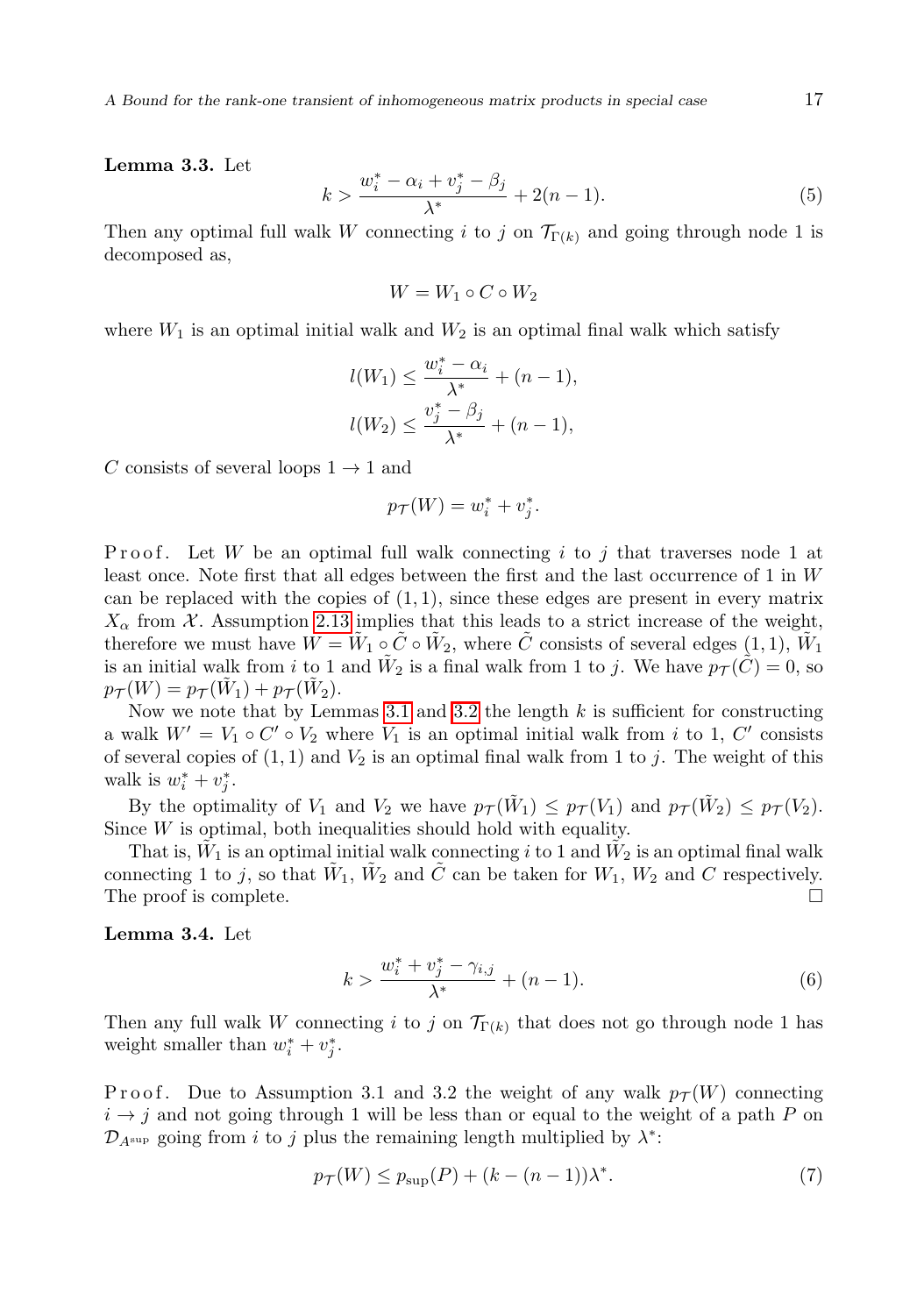Lemma 3.3. Let

$$
k > \frac{w_i^* - \alpha_i + v_j^* - \beta_j}{\lambda^*} + 2(n - 1). \tag{5}
$$

Then any optimal full walk W connecting i to j on  $\mathcal{T}_{\Gamma(k)}$  and going through node 1 is decomposed as,

$$
W = W_1 \circ C \circ W_2
$$

where  $W_1$  is an optimal initial walk and  $W_2$  is an optimal final walk which satisfy

$$
l(W_1) \le \frac{w_i^* - \alpha_i}{\lambda^*} + (n - 1),
$$
  

$$
l(W_2) \le \frac{v_j^* - \beta_j}{\lambda^*} + (n - 1),
$$

C consists of several loops  $1 \rightarrow 1$  and

$$
p_{\mathcal{T}}(W) = w_i^* + v_j^*.
$$

Proof. Let W be an optimal full walk connecting i to j that traverses node 1 at least once. Note first that all edges between the first and the last occurrence of 1 in W can be replaced with the copies of  $(1, 1)$ , since these edges are present in every matrix  $X_{\alpha}$  from X. Assumption [2.13](#page-4-1) implies that this leads to a strict increase of the weight, therefore we must have  $W = \tilde{W}_1 \circ \tilde{C} \circ \tilde{W}_2$ , where  $\tilde{C}$  consists of several edges  $(1, 1)$ ,  $\tilde{W}_1$ is an initial walk from i to 1 and  $\tilde{W}_2$  is a final walk from 1 to j. We have  $p_{\mathcal{T}}(\tilde{C}) = 0$ , so  $p_{\mathcal{T}}(W) = p_{\mathcal{T}}(\tilde{W}_1) + p_{\mathcal{T}}(\tilde{W}_2).$ 

Now we note that by Lemmas [3.1](#page-5-0) and [3.2](#page-5-1) the length  $k$  is sufficient for constructing a walk  $W' = V_1 \circ C' \circ V_2$  where  $V_1$  is an optimal initial walk from i to 1, C' consists of several copies of  $(1, 1)$  and  $V_2$  is an optimal final walk from 1 to j. The weight of this walk is  $w_i^* + v_j^*$ .

By the optimality of  $V_1$  and  $V_2$  we have  $p_{\mathcal{T}}(\tilde{W}_1) \leq p_{\mathcal{T}}(V_1)$  and  $p_{\mathcal{T}}(\tilde{W}_2) \leq p_{\mathcal{T}}(V_2)$ . Since  $W$  is optimal, both inequalities should hold with equality.

That is,  $\tilde{W}_1$  is an optimal initial walk connecting i to 1 and  $\tilde{W}_2$  is an optimal final walk connecting 1 to j, so that  $\tilde{W}_1$ ,  $\tilde{W}_2$  and  $\tilde{C}$  can be taken for  $W_1$ ,  $W_2$  and  $C$  respectively. The proof is complete.  $\Box$ 

#### <span id="page-6-2"></span>Lemma 3.4. Let

<span id="page-6-0"></span>
$$
k > \frac{w_i^* + v_j^* - \gamma_{i,j}}{\lambda^*} + (n - 1). \tag{6}
$$

Then any full walk W connecting i to j on  $\mathcal{T}_{\Gamma(k)}$  that does not go through node 1 has weight smaller than  $w_i^* + v_j^*$ .

Proof. Due to Assumption 3.1 and 3.2 the weight of any walk  $p_{\mathcal{T}}(W)$  connecting  $i \rightarrow j$  and not going through 1 will be less than or equal to the weight of a path P on  $\mathcal{D}_{A^{\sup}}$  going from i to j plus the remaining length multiplied by  $\lambda^*$ :

<span id="page-6-1"></span>
$$
p_{\mathcal{T}}(W) \le p_{\sup}(P) + (k - (n - 1))\lambda^*.
$$
 (7)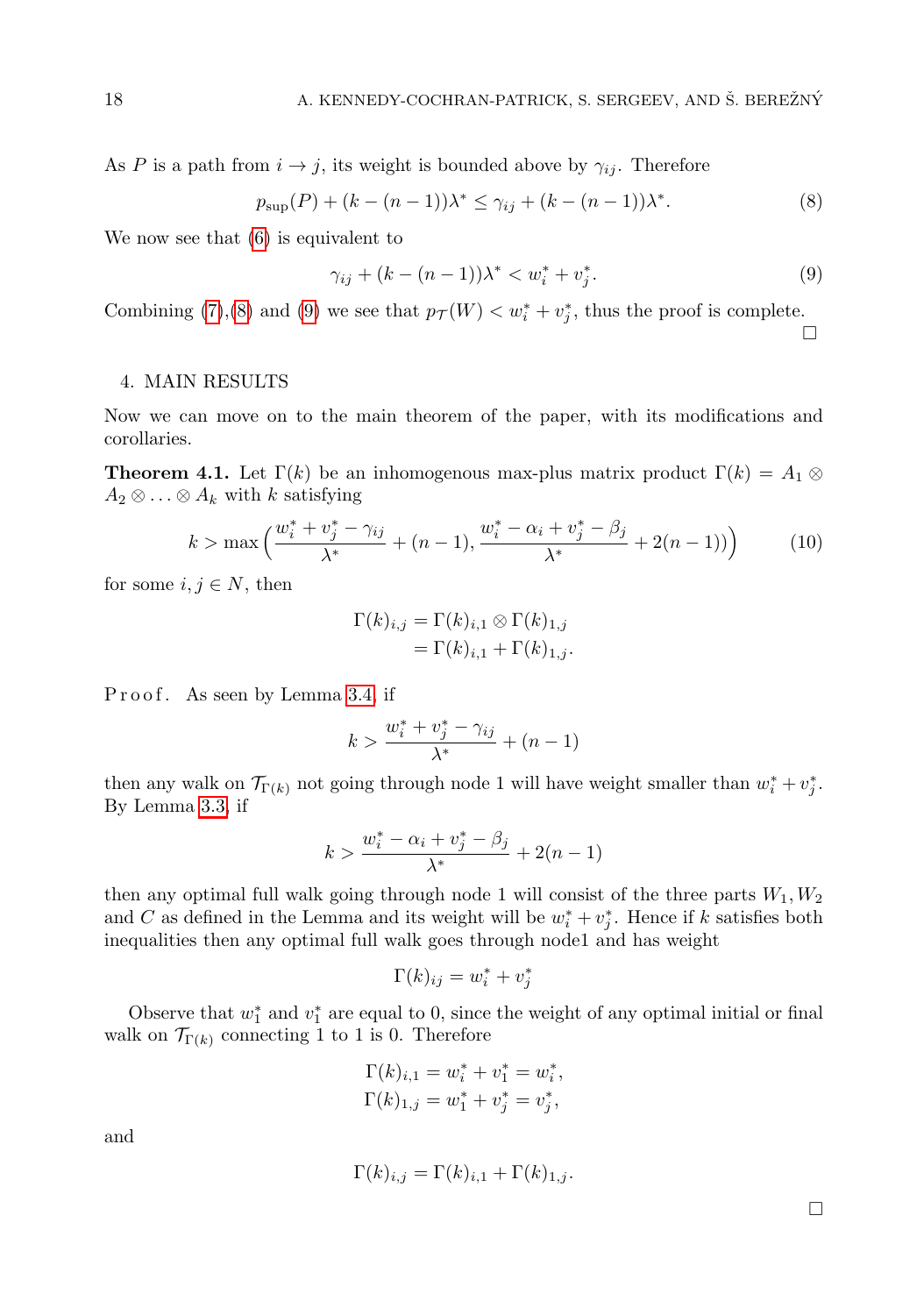As P is a path from  $i \rightarrow j$ , its weight is bounded above by  $\gamma_{ij}$ . Therefore

$$
p_{\sup}(P) + (k - (n - 1))\lambda^* \le \gamma_{ij} + (k - (n - 1))\lambda^*.
$$
 (8)

We now see that [\(6\)](#page-6-0) is equivalent to

$$
\gamma_{ij} + (k - (n - 1))\lambda^* < w_i^* + v_j^* \tag{9}
$$

Combining [\(7\)](#page-6-1),[\(8\)](#page-7-1) and [\(9\)](#page-7-2) we see that  $p_{\mathcal{T}}(W) < w_i^* + v_j^*$ , thus the proof is complete.

#### <span id="page-7-0"></span>4. MAIN RESULTS

Now we can move on to the main theorem of the paper, with its modifications and corollaries.

**Theorem 4.1.** Let  $\Gamma(k)$  be an inhomogenous max-plus matrix product  $\Gamma(k) = A_1 \otimes$  $A_2 \otimes \ldots \otimes A_k$  with k satisfying

$$
k > \max\left(\frac{w_i^* + v_j^* - \gamma_{ij}}{\lambda^*} + (n - 1), \frac{w_i^* - \alpha_i + v_j^* - \beta_j}{\lambda^*} + 2(n - 1)\right) \tag{10}
$$

for some  $i, j \in N$ , then

$$
\Gamma(k)_{i,j} = \Gamma(k)_{i,1} \otimes \Gamma(k)_{1,j}
$$

$$
= \Gamma(k)_{i,1} + \Gamma(k)_{1,j}.
$$

Proof. As seen by Lemma [3.4,](#page-6-2) if

$$
k > \frac{w_i^* + v_j^* - \gamma_{ij}}{\lambda^*} + (n-1)
$$

then any walk on  $\mathcal{T}_{\Gamma(k)}$  not going through node 1 will have weight smaller than  $w_i^* + v_j^*$ . By Lemma [3.3,](#page-5-2) if

$$
k > \frac{w_i^* - \alpha_i + v_j^* - \beta_j}{\lambda^*} + 2(n - 1)
$$

then any optimal full walk going through node 1 will consist of the three parts  $W_1, W_2$ and C as defined in the Lemma and its weight will be  $w_i^* + v_j^*$ . Hence if k satisfies both inequalities then any optimal full walk goes through node1 and has weight

$$
\Gamma(k)_{ij} = w_i^* + v_j^*
$$

Observe that  $w_1^*$  and  $v_1^*$  are equal to 0, since the weight of any optimal initial or final walk on  $\mathcal{T}_{\Gamma(k)}$  connecting 1 to 1 is 0. Therefore

$$
\Gamma(k)_{i,1} = w_i^* + v_1^* = w_i^*,
$$
  

$$
\Gamma(k)_{1,j} = w_1^* + v_j^* = v_j^*,
$$

and

$$
\Gamma(k)_{i,j} = \Gamma(k)_{i,1} + \Gamma(k)_{1,j}.
$$

 $\Box$ 

<span id="page-7-3"></span><span id="page-7-2"></span><span id="page-7-1"></span> $\Box$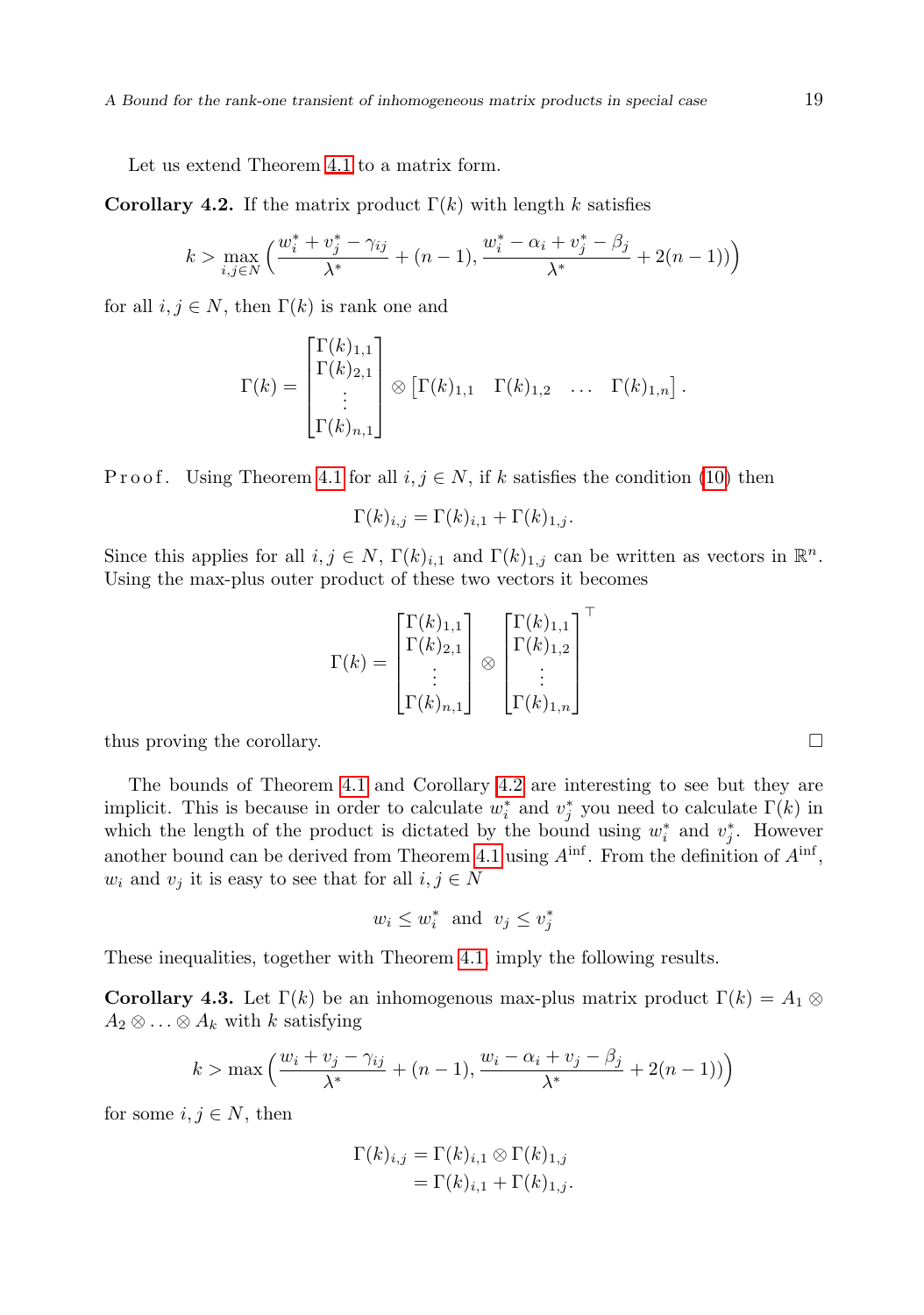Let us extend Theorem [4.1](#page-7-0) to a matrix form.

<span id="page-8-1"></span>**Corollary 4.2.** If the matrix product  $\Gamma(k)$  with length k satisfies

$$
k > \max_{i,j \in N} \left( \frac{w_i^* + v_j^* - \gamma_{ij}}{\lambda^*} + (n-1), \frac{w_i^* - \alpha_i + v_j^* - \beta_j}{\lambda^*} + 2(n-1) \right)
$$

for all  $i, j \in N$ , then  $\Gamma(k)$  is rank one and

$$
\Gamma(k) = \begin{bmatrix} \Gamma(k)_{1,1} \\ \Gamma(k)_{2,1} \\ \vdots \\ \Gamma(k)_{n,1} \end{bmatrix} \otimes \begin{bmatrix} \Gamma(k)_{1,1} & \Gamma(k)_{1,2} & \dots & \Gamma(k)_{1,n} \end{bmatrix}.
$$

P r o o f. Using Theorem [4.1](#page-7-0) for all  $i, j \in N$ , if k satisfies the condition [\(10\)](#page-7-3) then

$$
\Gamma(k)_{i,j} = \Gamma(k)_{i,1} + \Gamma(k)_{1,j}.
$$

Since this applies for all  $i, j \in N$ ,  $\Gamma(k)_{i,1}$  and  $\Gamma(k)_{1,j}$  can be written as vectors in  $\mathbb{R}^n$ . Using the max-plus outer product of these two vectors it becomes

$$
\Gamma(k) = \begin{bmatrix} \Gamma(k)_{1,1} \\ \Gamma(k)_{2,1} \\ \vdots \\ \Gamma(k)_{n,1} \end{bmatrix} \otimes \begin{bmatrix} \Gamma(k)_{1,1} \\ \Gamma(k)_{1,2} \\ \vdots \\ \Gamma(k)_{1,n} \end{bmatrix}^{\top}
$$

thus proving the corollary.

The bounds of Theorem [4.1](#page-7-0) and Corollary [4.2](#page-8-1) are interesting to see but they are implicit. This is because in order to calculate  $w_i^*$  and  $v_j^*$  you need to calculate  $\Gamma(k)$  in which the length of the product is dictated by the bound using  $w_i^*$  and  $v_j^*$ . However another bound can be derived from Theorem [4.1](#page-7-0) using  $A^{\text{inf}}$ . From the definition of  $A^{\text{inf}}$ ,  $w_i$  and  $v_j$  it is easy to see that for all  $i, j \in N$ 

$$
w_i \leq w_i^*
$$
 and  $v_j \leq v_j^*$ 

<span id="page-8-0"></span>These inequalities, together with Theorem [4.1,](#page-7-0) imply the following results.

**Corollary 4.3.** Let  $\Gamma(k)$  be an inhomogenous max-plus matrix product  $\Gamma(k) = A_1 \otimes$  $A_2 \otimes \ldots \otimes A_k$  with k satisfying

$$
k > \max\left(\frac{w_i + v_j - \gamma_{ij}}{\lambda^*} + (n-1), \frac{w_i - \alpha_i + v_j - \beta_j}{\lambda^*} + 2(n-1))\right)
$$

for some  $i, j \in N$ , then

$$
\Gamma(k)_{i,j} = \Gamma(k)_{i,1} \otimes \Gamma(k)_{1,j}
$$

$$
= \Gamma(k)_{i,1} + \Gamma(k)_{1,j}.
$$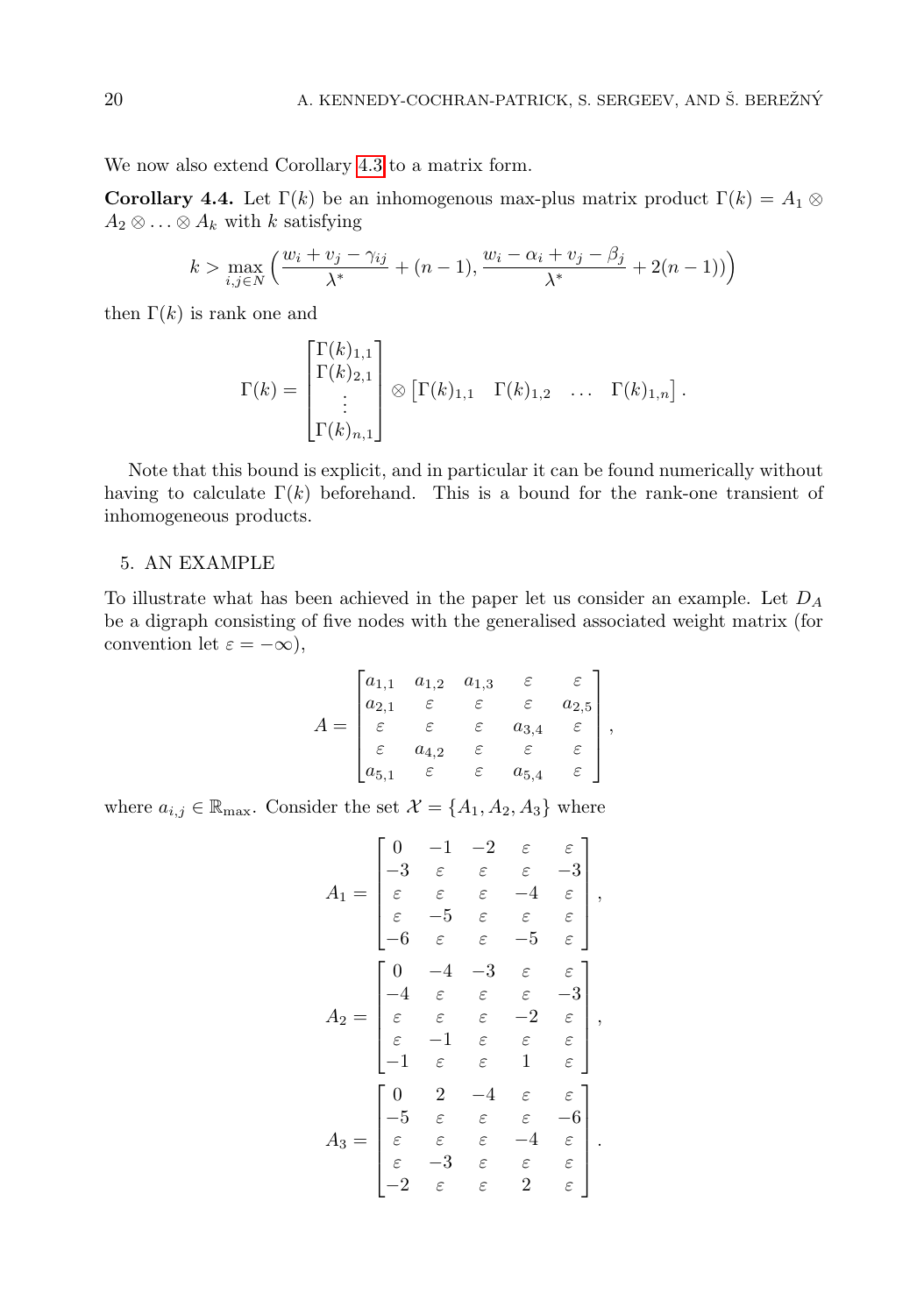We now also extend Corollary [4.3](#page-8-0) to a matrix form.

Corollary 4.4. Let  $\Gamma(k)$  be an inhomogenous max-plus matrix product  $\Gamma(k) = A_1 \otimes$  $A_2 \otimes \ldots \otimes A_k$  with k satisfying

$$
k > \max_{i,j \in N} \left( \frac{w_i + v_j - \gamma_{ij}}{\lambda^*} + (n-1), \frac{w_i - \alpha_i + v_j - \beta_j}{\lambda^*} + 2(n-1) \right)
$$

then  $\Gamma(k)$  is rank one and

<span id="page-9-0"></span>
$$
\Gamma(k) = \begin{bmatrix} \Gamma(k)_{1,1} \\ \Gamma(k)_{2,1} \\ \vdots \\ \Gamma(k)_{n,1} \end{bmatrix} \otimes \begin{bmatrix} \Gamma(k)_{1,1} & \Gamma(k)_{1,2} & \dots & \Gamma(k)_{1,n} \end{bmatrix}.
$$

Note that this bound is explicit, and in particular it can be found numerically without having to calculate  $\Gamma(k)$  beforehand. This is a bound for the rank-one transient of inhomogeneous products.

#### 5. AN EXAMPLE

To illustrate what has been achieved in the paper let us consider an example. Let  $D_A$ be a digraph consisting of five nodes with the generalised associated weight matrix (for convention let  $\varepsilon = -\infty$ ),

$$
A = \begin{bmatrix} a_{1,1} & a_{1,2} & a_{1,3} & \varepsilon & \varepsilon \\ a_{2,1} & \varepsilon & \varepsilon & \varepsilon & a_{2,5} \\ \varepsilon & \varepsilon & \varepsilon & a_{3,4} & \varepsilon \\ \varepsilon & a_{4,2} & \varepsilon & \varepsilon & \varepsilon \\ a_{5,1} & \varepsilon & \varepsilon & a_{5,4} & \varepsilon \end{bmatrix},
$$

where  $a_{i,j} \in \mathbb{R}_{\text{max}}$ . Consider the set  $\mathcal{X} = \{A_1, A_2, A_3\}$  where

$$
A_1 = \begin{bmatrix} 0 & -1 & -2 & \varepsilon & \varepsilon \\ -3 & \varepsilon & \varepsilon & \varepsilon & -3 \\ \varepsilon & \varepsilon & \varepsilon & -4 & \varepsilon \\ \varepsilon & -5 & \varepsilon & \varepsilon & \varepsilon \\ -6 & \varepsilon & \varepsilon & -5 & \varepsilon \end{bmatrix},
$$

$$
A_2 = \begin{bmatrix} 0 & -4 & -3 & \varepsilon & \varepsilon \\ -4 & \varepsilon & \varepsilon & \varepsilon & -3 \\ \varepsilon & \varepsilon & \varepsilon & -2 & \varepsilon \\ \varepsilon & -1 & \varepsilon & \varepsilon & \varepsilon \\ -1 & \varepsilon & \varepsilon & 1 & \varepsilon \end{bmatrix},
$$

$$
A_3 = \begin{bmatrix} 0 & 2 & -4 & \varepsilon & \varepsilon \\ -5 & \varepsilon & \varepsilon & \varepsilon & -6 \\ \varepsilon & \varepsilon & \varepsilon & \varepsilon & -4 & \varepsilon \\ \varepsilon & -3 & \varepsilon & \varepsilon & \varepsilon & \varepsilon \end{bmatrix}.
$$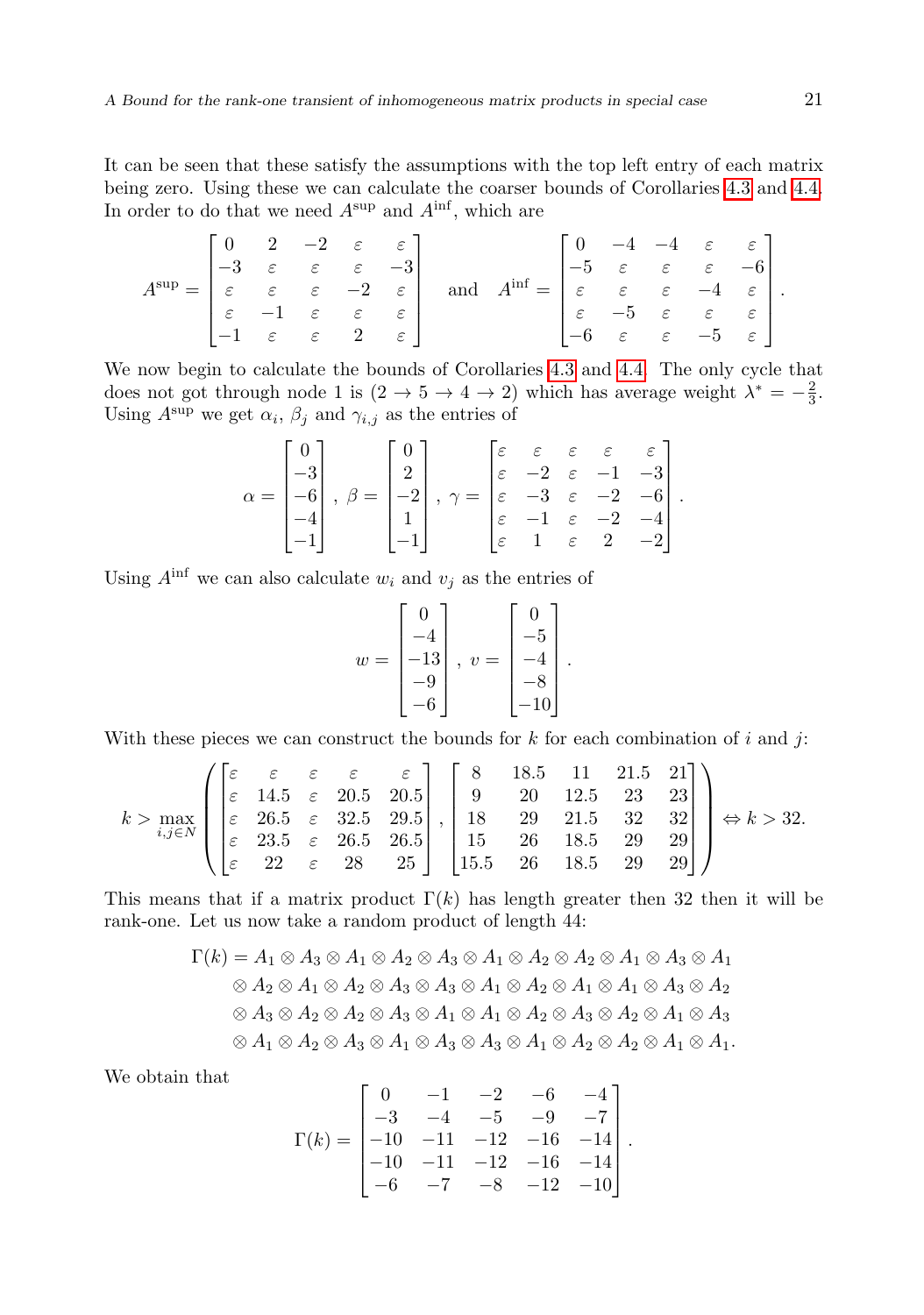It can be seen that these satisfy the assumptions with the top left entry of each matrix being zero. Using these we can calculate the coarser bounds of Corollaries [4.3](#page-8-0) and [4.4.](#page-9-0) In order to do that we need  $A^{\sup}$  and  $A^{\inf}$ , which are

$$
A^{\sup} = \begin{bmatrix} 0 & 2 & -2 & \varepsilon & \varepsilon \\ -3 & \varepsilon & \varepsilon & \varepsilon & -3 \\ \varepsilon & \varepsilon & \varepsilon & \varepsilon & -2 & \varepsilon \\ \varepsilon & -1 & \varepsilon & \varepsilon & \varepsilon & \varepsilon \\ -1 & \varepsilon & \varepsilon & 2 & \varepsilon \end{bmatrix} \quad \text{and} \quad A^{\inf} = \begin{bmatrix} 0 & -4 & -4 & \varepsilon & \varepsilon \\ -5 & \varepsilon & \varepsilon & \varepsilon & -6 \\ \varepsilon & \varepsilon & \varepsilon & -4 & \varepsilon \\ \varepsilon & -5 & \varepsilon & \varepsilon & \varepsilon \\ -6 & \varepsilon & \varepsilon & -5 & \varepsilon \end{bmatrix}.
$$

We now begin to calculate the bounds of Corollaries [4.3](#page-8-0) and [4.4.](#page-9-0) The only cycle that does not got through node 1 is  $(2 \to 5 \to 4 \to 2)$  which has average weight  $\lambda^* = -\frac{2}{3}$ . Using  $A^{\sup}$  we get  $\alpha_i$ ,  $\beta_j$  and  $\gamma_{i,j}$  as the entries of

$$
\alpha = \begin{bmatrix} 0 \\ -3 \\ -6 \\ -4 \\ -1 \end{bmatrix}, \ \beta = \begin{bmatrix} 0 \\ 2 \\ -2 \\ 1 \\ -1 \end{bmatrix}, \ \gamma = \begin{bmatrix} \varepsilon & \varepsilon & \varepsilon & \varepsilon & \varepsilon \\ \varepsilon & -2 & \varepsilon & -1 & -3 \\ \varepsilon & -3 & \varepsilon & -2 & -6 \\ \varepsilon & -1 & \varepsilon & -2 & -4 \\ \varepsilon & 1 & \varepsilon & 2 & -2 \end{bmatrix}.
$$

Using  $A^{\text{inf}}$  we can also calculate  $w_i$  and  $v_j$  as the entries of

$$
w = \begin{bmatrix} 0 \\ -4 \\ -13 \\ -9 \\ -6 \end{bmatrix}, v = \begin{bmatrix} 0 \\ -5 \\ -4 \\ -8 \\ -10 \end{bmatrix}
$$

.

With these pieces we can construct the bounds for  $k$  for each combination of  $i$  and  $j$ :

$$
k > \max_{i,j \in N} \left( \begin{bmatrix} \varepsilon & \varepsilon & \varepsilon & \varepsilon & \varepsilon \\ \varepsilon & 14.5 & \varepsilon & 20.5 & 20.5 \\ \varepsilon & 26.5 & \varepsilon & 32.5 & 29.5 \\ \varepsilon & 23.5 & \varepsilon & 26.5 & 26.5 \\ \varepsilon & 22 & \varepsilon & 28 & 25 \end{bmatrix}, \begin{bmatrix} 8 & 18.5 & 11 & 21.5 & 21 \\ 9 & 20 & 12.5 & 23 & 23 \\ 18 & 29 & 21.5 & 32 & 32 \\ 15 & 26 & 18.5 & 29 & 29 \\ 15.5 & 26 & 18.5 & 29 & 29 \end{bmatrix} \right) \Leftrightarrow k > 32.
$$

This means that if a matrix product  $\Gamma(k)$  has length greater then 32 then it will be rank-one. Let us now take a random product of length 44:

$$
\Gamma(k) = A_1 \otimes A_3 \otimes A_1 \otimes A_2 \otimes A_3 \otimes A_1 \otimes A_2 \otimes A_2 \otimes A_1 \otimes A_3 \otimes A_1
$$
  
\n
$$
\otimes A_2 \otimes A_1 \otimes A_2 \otimes A_3 \otimes A_3 \otimes A_1 \otimes A_2 \otimes A_1 \otimes A_3 \otimes A_2
$$
  
\n
$$
\otimes A_3 \otimes A_2 \otimes A_2 \otimes A_3 \otimes A_1 \otimes A_1 \otimes A_2 \otimes A_3 \otimes A_2 \otimes A_1 \otimes A_3
$$
  
\n
$$
\otimes A_1 \otimes A_2 \otimes A_3 \otimes A_1 \otimes A_3 \otimes A_1 \otimes A_2 \otimes A_2 \otimes A_1 \otimes A_1.
$$

We obtain that

$$
\Gamma(k) = \begin{bmatrix} 0 & -1 & -2 & -6 & -4 \\ -3 & -4 & -5 & -9 & -7 \\ -10 & -11 & -12 & -16 & -14 \\ -10 & -11 & -12 & -16 & -14 \\ -6 & -7 & -8 & -12 & -10 \end{bmatrix}.
$$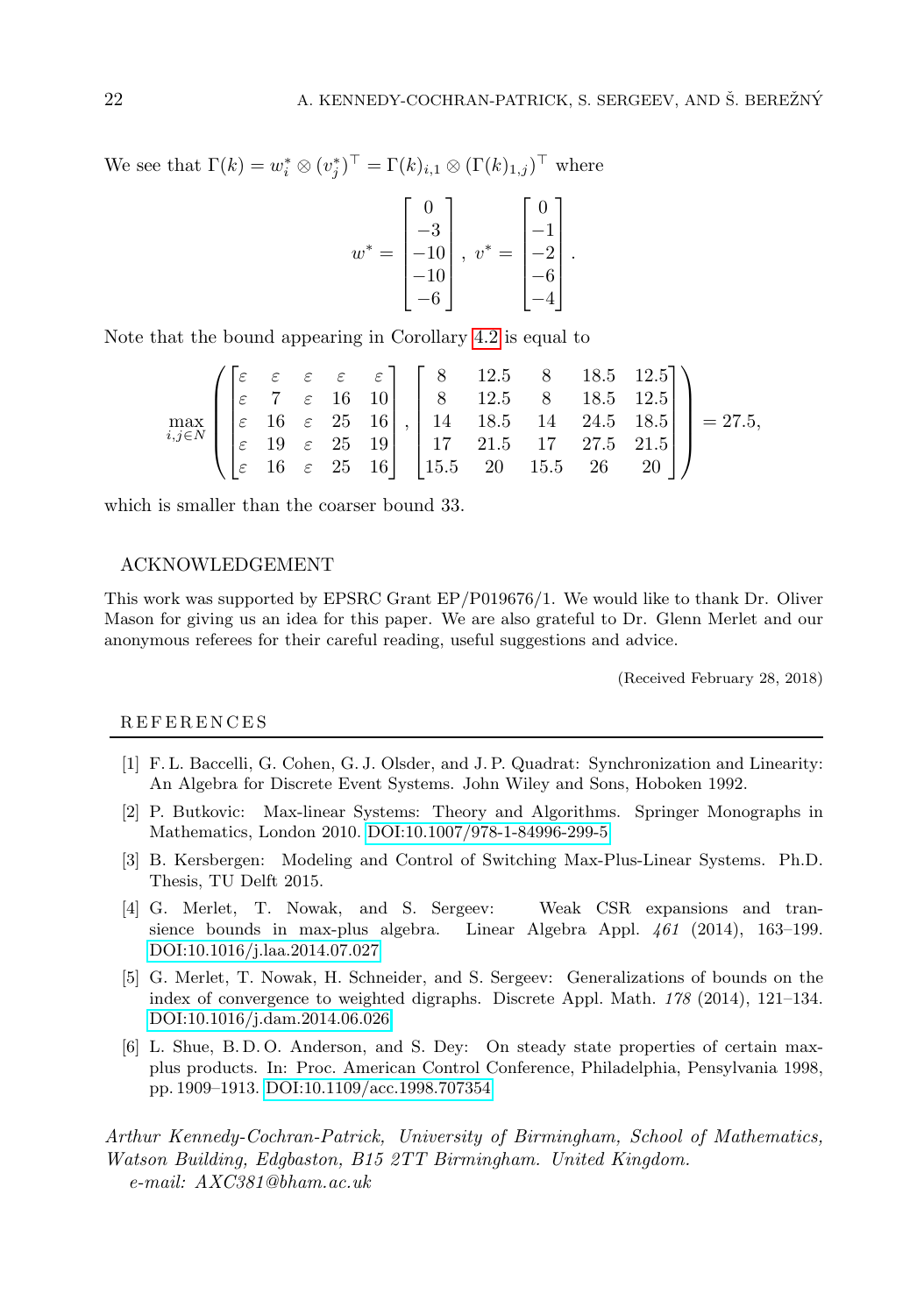We see that  $\Gamma(k) = w_i^* \otimes (v_j^*)^\top = \Gamma(k)_{i,1} \otimes (\Gamma(k)_{1,j})^\top$  where

$$
w^* = \begin{bmatrix} 0 \\ -3 \\ -10 \\ -10 \\ -6 \end{bmatrix}, v^* = \begin{bmatrix} 0 \\ -1 \\ -2 \\ -6 \\ -4 \end{bmatrix}.
$$

Note that the bound appearing in Corollary [4.2](#page-8-1) is equal to

$$
\max_{i,j \in N} \left( \begin{bmatrix} \varepsilon & \varepsilon & \varepsilon & \varepsilon & \varepsilon \\ \varepsilon & 7 & \varepsilon & 16 & 10 \\ \varepsilon & 16 & \varepsilon & 25 & 16 \\ \varepsilon & 19 & \varepsilon & 25 & 19 \\ \varepsilon & 16 & \varepsilon & 25 & 16 \end{bmatrix}, \begin{bmatrix} 8 & 12.5 & 8 & 18.5 & 12.5 \\ 8 & 12.5 & 8 & 18.5 & 12.5 \\ 14 & 18.5 & 14 & 24.5 & 18.5 \\ 17 & 21.5 & 17 & 27.5 & 21.5 \\ 15.5 & 20 & 15.5 & 26 & 20 \end{bmatrix} \right) = 27.5,
$$

which is smaller than the coarser bound 33.

#### ACKNOWLEDGEMENT

This work was supported by EPSRC Grant EP/P019676/1. We would like to thank Dr. Oliver Mason for giving us an idea for this paper. We are also grateful to Dr. Glenn Merlet and our anonymous referees for their careful reading, useful suggestions and advice.

(Received February 28, 2018)

#### **REFERENCES**

- <span id="page-11-3"></span>[1] F. L. Baccelli, G. Cohen, G. J. Olsder, and J. P. Quadrat: Synchronization and Linearity: An Algebra for Discrete Event Systems. John Wiley and Sons, Hoboken 1992.
- <span id="page-11-5"></span>[2] P. Butkovic: Max-linear Systems: Theory and Algorithms. Springer Monographs in Mathematics, London 2010. [DOI:10.1007/978-1-84996-299-5](http://dx.doi.org/10.1007/978-1-84996-299-5)
- <span id="page-11-4"></span>[3] B. Kersbergen: Modeling and Control of Switching Max-Plus-Linear Systems. Ph.D. Thesis, TU Delft 2015.
- <span id="page-11-0"></span>[4] G. Merlet, T. Nowak, and S. Sergeev: Weak CSR expansions and transience bounds in max-plus algebra. Linear Algebra Appl. 461 (2014), 163–199. [DOI:10.1016/j.laa.2014.07.027](http://dx.doi.org/10.1016/j.laa.2014.07.027)
- <span id="page-11-1"></span>[5] G. Merlet, T. Nowak, H. Schneider, and S. Sergeev: Generalizations of bounds on the index of convergence to weighted digraphs. Discrete Appl. Math. 178 (2014), 121–134. [DOI:10.1016/j.dam.2014.06.026](http://dx.doi.org/10.1016/j.dam.2014.06.026)
- <span id="page-11-2"></span>[6] L. Shue, B. D. O. Anderson, and S. Dey: On steady state properties of certain maxplus products. In: Proc. American Control Conference, Philadelphia, Pensylvania 1998, pp. 1909–1913. [DOI:10.1109/acc.1998.707354](http://dx.doi.org/10.1109/acc.1998.707354)

Arthur Kennedy-Cochran-Patrick, University of Birmingham, School of Mathematics, Watson Building, Edgbaston, B15 2TT Birmingham. United Kingdom. e-mail: AXC381@bham.ac.uk